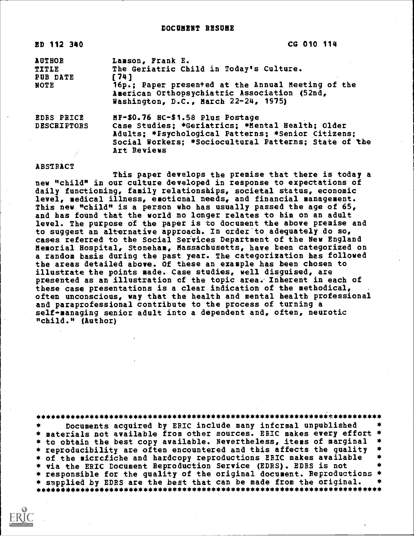| <b>ED 112 340</b>                                 | CG 010 114                                                                                                                                                                                                         |
|---------------------------------------------------|--------------------------------------------------------------------------------------------------------------------------------------------------------------------------------------------------------------------|
| <b>AUTHOR</b><br><b>TITLE</b><br>PUB DATE<br>NOTE | Lamson, Frank E.<br>The Geriatric Child in Today's Culture.<br>[74]<br>16p.; Paper presented at the Annual Meeting of the<br>American Orthopsychiatric Association (52nd,<br>Washington, D.C., March 22-24, 1975)  |
| <b>EDRS PRICE</b><br><b>DESCRIPTORS</b>           | MF-\$0.76 HC-\$1.58 Plus Postage<br>Case Studies; *Geriatrics; *Mental Health; Older<br>Adults: *Esychological Patterns; *Senior Citizens:<br>Social Workers: *Sociocultural Patterns; State of the<br>Art Reviews |

## ABSTRACT

This paper develops the premise that there is today a new "child" in our culture developed in response to expectations of daily functioning, family relationships, societal status, economic level, medical illness, emotional needs, and financial management. This new "child" is a person who has usually passed the age of 65, and has found that the world no longer relates to him on an adult level. The purpose of the paper is to document the above premise and to suggest an alternative approach. In order to adequately do so, cases referred to the Social Services Department of the New England Memorial Hospital, Stoneham, Massachusetts, have been categorized on a random basis during the past year. The categorization has followed the areas detailed above. Of these an example has been chosen to illustrate the points made. Case studies, well disguised, are presented as an illustration of the topic area. Inherent in each of these case presentations is a clear indication of the methodical, often unconscious, way that the health and mental health professional and paraprofessional contribute to the process of turning a self-managing senior adult into a dependent and, often, neurotic "child." (Author)

\*\*\*\*\*\*\*\*\*\*\*\*\*\*\*\*\*\*\*\*\*\*\*\*\*\*\*\*\* Documents acquired by ERIC include many informal unpublished \* materials not available from other sources. ERIC makes every effort<br>\* to obtain the best copy available. Nevertheless, items of marginal \* reproducibility are often encountered and this affects the quality \* \* \* of the microfiche and hardcopy reproductions ERIC makes available<br>\* via the ERIC Document Reproduction Service (EDRS). EDRS is not responsible for the quality of the original document. Reproductions \* \* supplied by EDRS are the best that can be made from the original. \* \*\*\*\*\*\*\*\*\*\*\*\*\*\*\*\*\*\*\*\*\*\*\*\*\*\*\*\*\*\*\*\*\*\*\*\*\*\*\*\*\*\*\*\*\*\*\*\*\*\*\*\*\*\*\*\*\*\*\*\*\*\*\*\*\*\*\*\*\*\*\*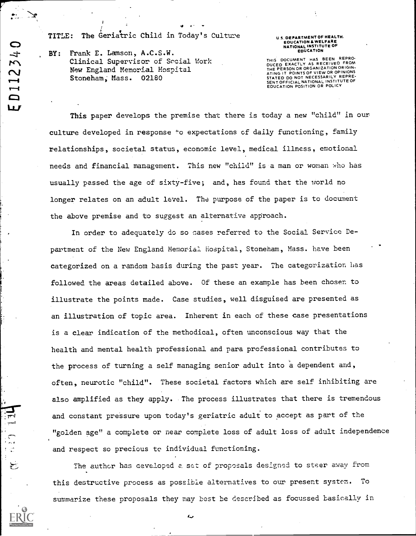TITLE: The Geriatric Child in Today's Culture

BY: Frank E. Lamson, A.C.S.W. Clinical Supervisor of Social Work New England Memorial Hospital Stoneham; Mass. 02180

## U.S. DEPARTMENT OF HEALTH,<br>EDUCATION & WELFARE<br>NATIONAL INSTITUTE OF<br>EDUCATION

THIS DOCUMENT HAS BEEEN REPROM<br>DUCED EXACTLY AS RECEIVED FROM<br>THE PERSON OR ORGANIZATION ORIGINATING IT POINTS OF VIEW OR OPINIONS<br>STATED DO NOT NECESSARILY REPRE-<br>SENTOFFICIAL NATIONAL INSTITUTE OF<br>EDUCATION POSITION OR P

This paper develops the premise that there is today a new "child" in our culture developed in response to expectations of daily functioning, family relationships, societal status, economic level, medical illness, emotional needs and financial management. This new "child" is a man or woman who has usually passed the age of sixty-five; and, has found that the world no longer relates on an adult level. The purpose of the paper is to document the above premise and to suggest an alternative approach.

4 -

In order to adequately do so cases referred to the Social Service Department of the New England Memorial Hospital, Stoneham, Mass. have been categorized on a random basis during the past year. The categorization has followed the areas detailed above. Of these an example has been chosen to illustrate the points made. Case studies, well disguised are presented as an illustration of topic area. Inherent in each of these case presentations is a clear indication of the methodical, often unconscious way that the health and mental health professional and pare professional contributes to the process of turning a self managing senior adult into a dependent and, often, neurotic "child". These societal factors which are self inhibiting are also amplified as they apply. The process illustrates that there is tremendous and constant pressure upon today's geriatric adult to accept as part of the "golden age" a complete or near complete loss of adult loss of adult independence and respect so precious to individual functioning.

The author has developed a. set of proposals designed to steer away from this destructive process as possible alternatives to our present system. To summarize these proposals they may best be described as focussed basically in

O ED11234

يسلج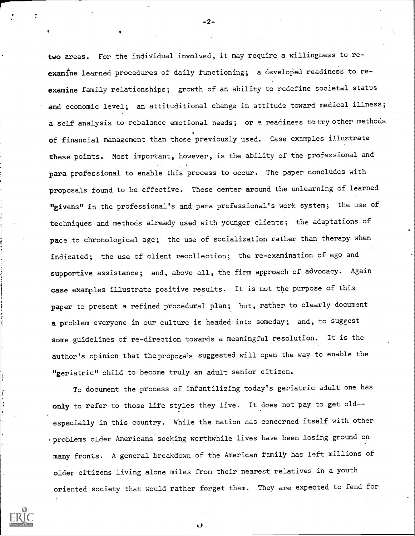two areas. For the individual involved, it may require a willingness to reexamine learned procedures of daily functioning; a developed readiness to reexamine family relationships; growth of an ability to redefine societal status and economic level; an attituditional change in attitude toward medical illness; a self analysis to rebalance emotional needs; or a readiness to try other methods of financial management than those previously used. Case examples illustrate these points. Most important, however, is the ability of the professional and para professional to enable this process to occur. The paper concludes with proposals found to be effective. These center around the unlearning of learned "givens" in the professional's and para professional's work system; the use of techniques and methods already used with younger clients; the adaptations of pace to chronological age; the use of socialization rather than therapy when indicated; the use of client recollection; the re-examination of ego and supportive assistance; and, above all, the firm approach of advocacy. Again case examples illustrate positive results. It is not the purpose of this paper to present a refined procedural plan; but, rather to clearly document a problem everyone in our culture is headed into someday; and, to suggest some guidelines of re-direction towards a meaningful resolution. It is the author's opinion that the proposals suggested will open the way to enable the "geriatric" child to become truly an adult senior citizen.

To document the process of infantilizing today's geriatric adult one has only to refer to those life styles they live. It does not pay to get old-especially in this country. While the nation nas concerned itself with other problems older Americans seeking worthwhile lives have been losing ground on many fronts. A general breakdown of the American family has left millions of older citizens living alone miles from their nearest relatives in a youth oriented society that would rather forget them. They are expected to fend for

a.)

-2-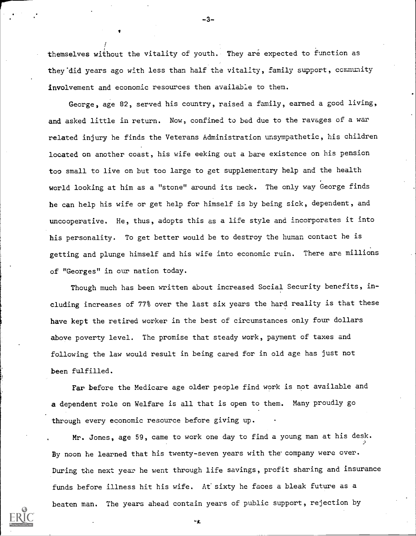themselves without the vitality of youth. They are expected to function as they'did years ago with less than half the vitality, family support, community involvement and economic resources then available to them.

-3-

George, age 82, served his country, raised a family, earned a good living, and asked little in return. Now, confined to bed due to the ravages of a war related injury he finds the Veterans Administration unsympathetic, his children located on another coast, his wife eeking out a bare existence on his pension too small to live on but too large to get supplementary help and the health world looking at him as a "stone" around its neck. The only way George finds he can help his wife or get help for himself is by being sick, dependent, and uncooperative. He, thus, adopts this as a life style and incorporates it into his personality. To get better would be to destroy the human contact he is getting and plunge himself and his wife into economic ruin. There are millions of "Georges" in our nation today.

Though much has been written about increased Social Security benefits, including increases of 77% over the last six years the hard reality is that these have kept the retired worker in the best of circumstances only four dollars above poverty level. The promise that steady work, payment of taxes and following the law would result in being cared for in old age has just not been fulfilled.

Far before the Medicare age older people find work is not available and a dependent role on Welfare is all that is open to them. Many proudly go through every economic resource before giving up.

Mr. Jones, age 59, came to work one day to find a young man at his desk. By noon he learned that his twenty-seven years with the company were over. During the next year he went through life savings, profit sharing and insurance funds before illness hit his wife. At'sixty he faces a bleak future as a beaten man. The years ahead contain years of public support, rejection by



Ч£,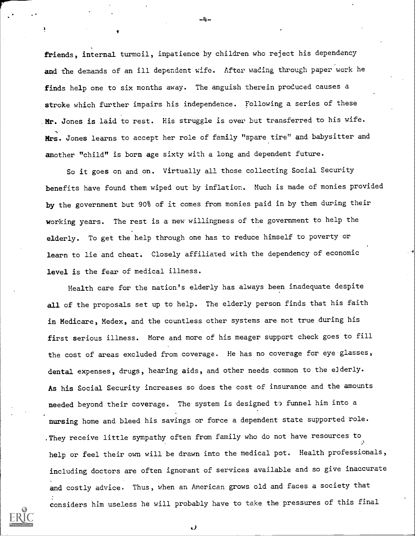friends, internal turmoil, inpatience by children who reject his dependency and the demands of an ill dependent wife. After wading through paper work he finds help one to six months away. The anguish therein produced causes a stroke which further impairs his independence. Following a series of these Mr. Jones is laid to rest. His struggle is over but transferred to his wife. Mrs. Jones learns to accept her role of family "spare tire" and babysitter and another "child" is born age sixty with a long and dependent future.

So it goes on and on. Virtually all those collecting Social Security benefits have found them wiped out by inflation. Much is made of monies provided by the government but 90% of it comes from monies paid in by them during their working years. The rest is a new willingness of the government to help the elderly. To get the help through one has to reduce himself to poverty or learn to lie and cheat. Closely affiliated with the dependency of economic level is the fear of medical illness.

Health care for the nation's elderly has always been inadequate despite all of the proposals set up to help. The elderly person finds that his faith in Medicare, Medex, and the countless other systems are not true during his first serious illness. More and more of his meager support check goes to fill the cost of areas excluded from coverage. He has no coverage for eye glasses, dental expenses, drugs, hearing aids, and other needs common to the elderly. As his Social Security increases so does the cost of insurance and the amounts needed beyond their coverage. The system is designed to funnel him into a nursing home and bleed his savings or force a dependent state supported role. . They receive little sympathy often from family who do not have resources to help or feel their own will be drawn into the medical pot. Health professionals, including doctors are often ignorant of services available and so give inaccurate and costly advice. Thus, when an American grows old and faces a society that considers him useless he will probably have to take the pressures of this final

ر،

-4-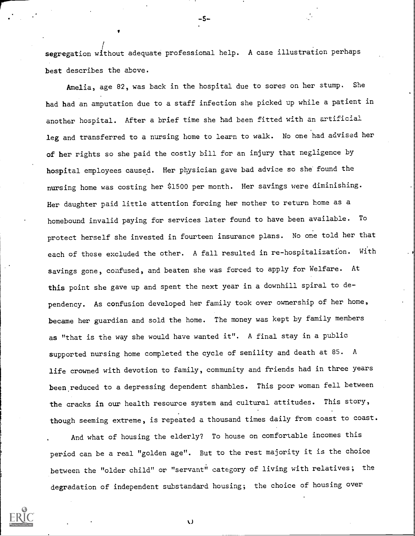segregation without adequate professional help. A case illustration perhaps best describes the above.

-5-

Amelia, age 82, was back in the hospital due to sores on her stump. She had had an amputation due to a staff infection she picked up while a patient in another hospital. After a brief time she had been fitted with an artificial leg and transferred to a nursing home to learn to walk. No one had advised her of her rights so she paid the costly bill for an injury that negligence by hospital employees caused. Her physician gave bad advice so she found the nursing home was costing her \$1500 per month. Her savings were diminishing. Her daughter paid little attention forcing her mother to return home as a homebound invalid paying for services later found to have been available. To protect herself she invested in fourteen insurance plans. No one told her that each of these excluded the other. A fall resulted in re-hospitalization. With savings gone, confused, and beaten she was forced to apply for Welfare. At this point she gave up and spent the next year in a downhill spiral to dependency. As confusion developed her family took over ownership of her home, became her guardian and sold the home. The money was kept by family members as "that is the way she would have wanted it". A final stay in a public supported nursing home completed the cycle of senility and death at 85. A life crowned with devotion to family, community and friends had in three years been reduced to a depressing dependent shambles. This poor woman fell between the cracks in our health resource system and cultural attitudes. This story, though seeming extreme, is repeated a thousand times daily from coast to coast.

And what of housing the elderly? To house on comfortable incomes this period can be a real "golden age". But to the rest majority it is the choice between the "older child" or "servant" category of living with relatives; the degradation of independent substandard housing; the choice of housing over



Ü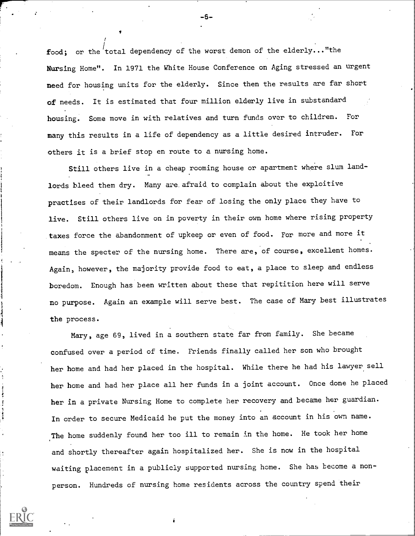$\texttt{food:}$  or the total dependency of the worst demon of the elderly..."the Nursing Home". In 1971 the White House Conference on Aging stressed an urgent need for housing units for the elderly. Since then the results are far short of needs. It is estimated that four million elderly live in substandard housing. Some move in with relatives and turn funds over to children. For many this results in a life of dependency as a little desired intruder. For others it is a brief stop en route to a nursing home.

Still others live in a cheap rooming house or apartment where slum landlords bleed them dry. Many are afraid to complain about the exploitive practises of their landlords for fear of losing the only place they have to live. Still others live on in poverty in their own home where rising property taxes force the abandonment of upkeep or even of food. For more and more it means the specter of the nursing home. There are, of course, excellent homes. Again, however, the majority provide food to eat, a place to sleep and endless boredom. Enough has been written about these that repitition here will serve no purpose. Again an example will serve best. The case of Mary best illustrates the process.

Mary, age 69, lived in a southern state far from family. She became confused over a period of time. Friends finally called her son who brought her home and had her placed in the hospital. While there he had his lawyer sell her home and had her place all her funds in a joint account. Once done he placed her in a private Nursing Home to complete her recovery and became her guardian. In order to secure Medicaid he put the money into an account in his own name. The home suddenly found her too ill to remain in the home. He took her home and shortly thereafter again hospitalized her. She is now in the hospital waiting placement in a publicly supported nursing home. She has become a nonperson. Hundreds of nursing home residents across the country spend their

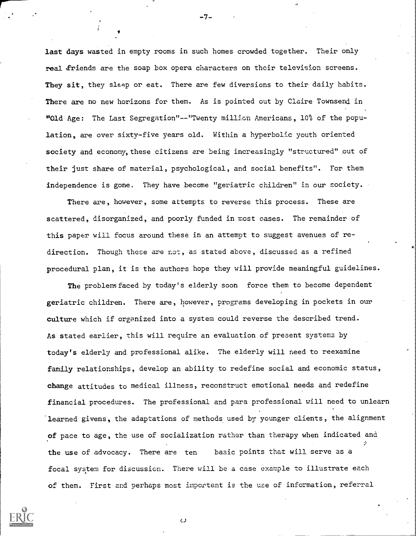last days wasted in empty rooms in such homes crowded together. Their only real friends are the soap box opera characters on their television screens. They sit, they sleep or eat. There are few diversions to their daily habits. There are no new horizons for them. As is pointed out by Claire Townsend in "Old Age: The Last Segregation"--"Twenty million Americans, 10% of the population, are over sixty-five years old. Within a hyperbolic youth oriented society and economy, these citizens are being increasingly "structured" out of their just share of material, psychological, and social benefits". For them independence is gone. They have become "geriatric children" in our society.

There are, however, some attempts to reverse this process. These are scattered, disorganized, and poorly funded in most cases. The remainder of this paper will focus around these in an attempt to suggest avenues of redirection. Though these are rot, as stated above, discussed as a refined procedural plan, it is the authors hope they will provide meaningful guidelines.

The problems faced by today's elderly soon force them to become dependent geriatric children. There are, however, programs developing in pockets in our culture which if organized into a system could reverse the described trend. As stated earlier, this will require an evaluation of present systems by today's elderly and professional alike. The elderly will need to reexamine family relationships, develop an ability to redefine social and economic status, change attitudes to medical illness, reconstruct emotional needs and redefine financial procedures. The professional and para professional will need to unlearn learned givens, the adaptations of methods used by younger clients, the alignment of pace to age, the use of socialization rather than therapy when indicated and the use of advocacy. There are ten basic points that will serve as a focal system for discussion. There will be a case example to illustrate each of them. First and perhaps most important is the use of information, referral



د)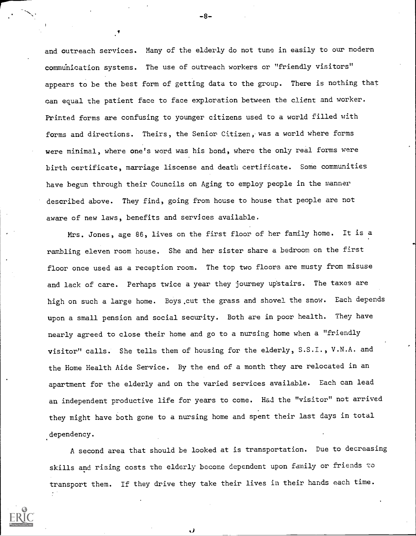and outreach services. Many of the elderly do not tune in easily to our modern communication systems. The use of outreach workers or "friendly visitors" appears to be the best form of getting data to the group. There is nothing that can equal the patient face to face exploration between the client and worker. Printed forms are confusing to younger citizens used to a world filled with forms and directions. Theirs, the Senior Citizen, was a world where forms were minimal, where one's word was his bond, where the only real forms were birth certificate, marriage liscense and death certificate. Some communities have begun through their Councils on Aging to employ people in the manner described above. They find, going from house to house that people are not aware of new laws, benefits and services available.

Mrs. Jones, age 86, lives on the first floor of her family home. It is a rambling eleven room house. She and her sister share a bedroom on the first floor once used as a reception room. The top two floors are musty from misuse and lack of care. Perhaps twice a year they journey upstairs. The taxes are high on such a large home. Boys.cut the grass and shovel the snow. Each depends upon a small pension and social security. Both are in poor health. They have nearly agreed to close their home and go to a nursing home when a "friendly visitor" calls. She tells them of housing for the elderly, S.S.I., V.N.A. and the Home Health Aide Service. By the end of a month they are relocated in an apartment for the elderly and on the varied services available. Each can lead an independent productive life for years to come. Had the "visitor" not arrived they might have both gone to a nursing home and spent their last days in total dependency.

A second area that should be looked at is transportation. Due to decreasing skills and rising costs the elderly become dependent upon family or friends to transport them. If they drive they take their lives in their hands each time.

..)



-8-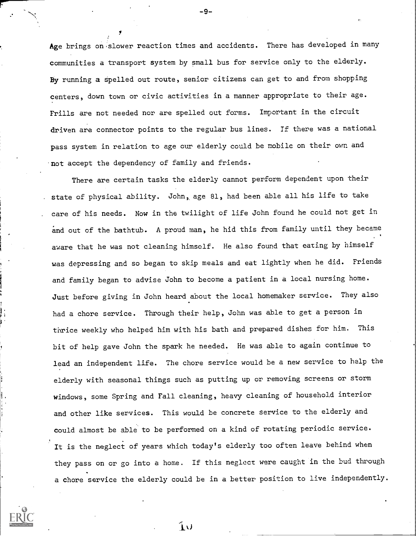Age brings on slower reaction times and accidents. There has developed in many communities a transport system by small bus for service only to the elderly. By running a spelled out route, senior citizens can get to and from shopping centers, down town or civic activities in a manner appropriate to their age. Frills are not needed nor are spelled out forms. Important in the circuit driven are connector points to the regular bus lines. If there was a national pass system in relation to age our elderly could be mobile on their own and not accept the dependency of family and friends.

There are certain tasks the elderly cannot perform dependent upon their state of physical ability. John, age 81, had been able all his life to take . care of his needs. Now in the twilight of life John found he could not get in and out of the bathtub. A proud man, he hid this from family until they became aware that he was not cleaning himself. He also found that eating by himself was depressing and so began to skip meals and eat lightly when he did. Friends and family began to advise John to become a patient in a local nursing home. Just before giving in John heard about the local homemaker service. They also had a chore service. Through their help, John was able to get a person in thrice weekly who helped him with his bath and prepared dishes for him. This bit of help gave John the spark he needed. He was able to again continue to lead an independent life. The chore service would be a new service to help the elderly with seasonal things such as putting up or removing screens or storm windows, some Spring and Fall cleaning, heavy cleaning of household interior and other like services. This would be concrete Service to the elderly and could almost be able to be performed on a kind of rotating periodic service. It is the neglect of years which today's elderly too often leave behind when they pass on or go into a home. If this neglect were caught in the bud through a chore service the elderly could be in a better position to live independently.

ับ



-9-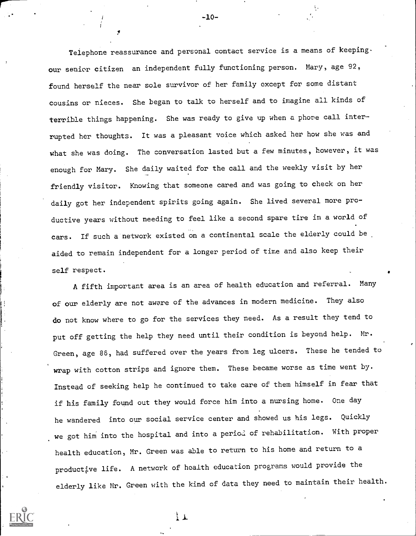Telephone reassurance and personal contact service is a means of keeping. our senior citizen an independent fully functioning person. Mary, age 92, found herself the near sole survivor of her family except for some distant cousins or nieces. She began to talk to herself and to imagine all kinds of terrible things happening. She was ready to give up when a phone call interrupted her thoughts. It was a pleasant voice which asked her how she was and what she was doing. The conversation lasted but a few minutes, however, it was enough for Mary. She daily waited for the call and the weekly visit by her friendly visitor. Knowing that someone cared and was going to check on her daily got her independent spirits going again. She lived several more productive years without needing to feel like a second spare tire in a world of cars. If such a network existed on a continental scale the elderly could be aided to remain independent for a longer period of time and also keep their self respect.

A fifth important area is an area of health education and referral. Many of our elderly are not aware of the advances in modern medicine. They also do not know where to go for the services they need. As a result they tend to put off getting the help they need until their condition is beyond help. Mr. Green, age 86, had suffered over the years from leg ulcers. These he tended to wrap with cotton strips and ignore them. These became worse as time went by. Instead of seeking help he continued to take care of them himself in fear that if his family found out they would force him into a nursing home. One day he wandered into our social service center and showed us his legs. Quickly we got him into the hospital and into a period of rehabilitation. With proper health education, Mr. Green was able to return to his home and return to a productive life. A network of health education programs would provide the elderly like Mr. Green with the kind of data they need to maintain their health.

 $\mathbf{1}$ 



 $-10-$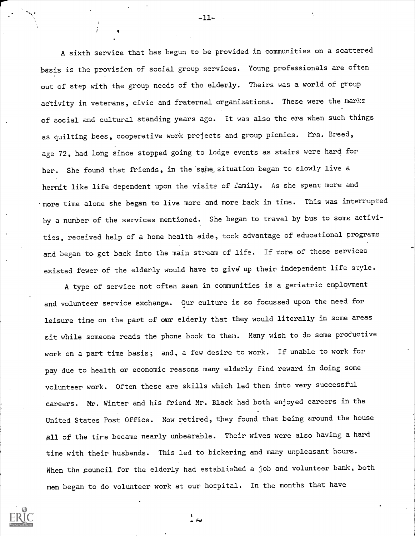A sixth service that has begun to be provided in communities on a scattered basis is the provision of social group services. Young professionals are often out of step with the group needs of the elderly. Theirs was a world of group activity in veterans, civic and fraternal organizations. These were the marks of social and cultural standing years ago. It was also the era when such things as quilting bees, cooperative work projects and group picnics. Mrs. Breed, age 72, had long since stopped going to lodge events as stairs were hard for her. She found that friends, in the same situation began to slowly live a hermit like life dependent upon the visits of family. As she spent more and more time alone she began to live more and more back in time. This was interrupted by a number of the services mentioned. She began to travel by bus to some activities, received help of a home health aide, took advantage of educational programs and began to get back into the main stream of life. If more of these services existed fewer of the elderly would have to give up their independent life style.

A type of service not often seen in communities is a geriatric employment and volunteer service exchange. Our culture is so focussed upon the need for leisure time on the part of our elderly that they would literally in some areas sit while someone reads the phone book to them. Many wish to do some productive work on a part time basis; and, a few desire to work. If unable to work for pay due to health or economic reasons many elderly find reward in doing some volunteer work. Often these are skills which led them into very successful careers. Mr. Winter and his friend Mr. Black had both enjoyed careers in the United States Post Office. Now retired, they found that being around the house All of the tire became nearly unbearable. Their wives were also having a hard time with their husbands. This led to bickering and many unpleasant hours. When the council for the elderly had established a job and volunteer bank, both men began to do volunteer work at our hospital. In the months that have



 $-11-$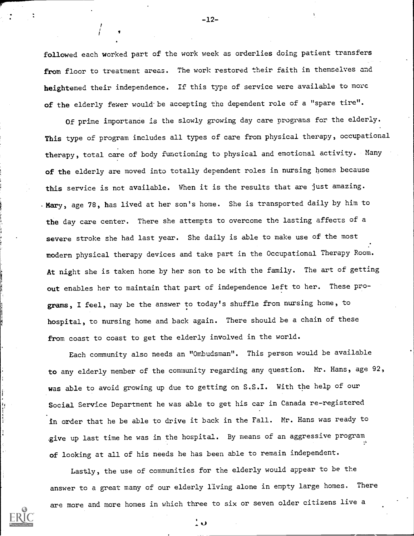followed each worked part of the work week as orderlies doing patient transfers from floor to treatment areas. The work restored their faith in themselves and heightened their independence. If this type of service were available to more of the elderly fewer would be accepting the dependent role of a "spare tire".

Of prime importance is the slowly growing day care programs for the elderly. This type of program includes all types of care from physical therapy, occupational therapy, total care of body functioning to physical and emotional activity. Many of the elderly are moved into totally dependent roles in nursing homes because this service is not available. When it is the results that are just amazing. . Mary, age 78, has lived at her son's home. She is transported daily by him to the day care center. There she attempts to overcome the lasting affects of a severe stroke she had last year. She daily is able to make use of the most modern physical therapy devices and take part in the Occupational Therapy Room. At night she is taken home by her son to be with the family. The art of getting out enables her to maintain that part of independence left to her. These programs, I feel, may be the answer to today's shuffle from nursing home, to hospital, to nursing home and back again. There should be a chain of these from coast to coast to get the elderly involved in the world.

Each community also needs an "Ombudsman". This person would be available to any elderly member of the community regarding any question. Mr. Hans, age 92, was able to avoid growing up due to getting on S.S.I. With the help of our Social Service Department he was able to get his car in Canada re-registered in order that he be able to drive it back in the Fall. Mr. Hans was ready to .give up last time he was in the hospital. By means of an aggressive program of looking at all of his needs he has been able to remain independent.

Lastly, the use of communities for the elderly would appear to be the answer to a great many of our elderly living alone in empty large homes. There are more and more homes in which three to six or seven older citizens live a

່ ບ

-12-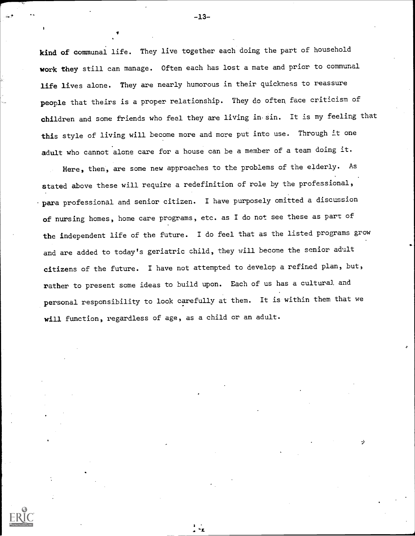kind of communal life. They live together each doing the part of household work they still can manage. Often each has lost a mate and prior to communal life lives alone. They are nearly humorous in their quickness to reassure people that theirs is a proper relationship. They do often face criticism of children and some friends who feel they are living in sin. It is my feeling that this style of living will become more and more put into use. Through it one adult who cannot alone care for a house can be a member of a team doing it.

Here, then, are some new approaches to the problems of the elderly. As stated above these will require a redefinition of role by the professional, para professional and senior citizen. I have purposely omitted a discussion of nursing homes, home care programs, etc. as I do not see these as part of the independent life of the future. I do feel that as the listed programs grow and are added to today's geriatric child, they will become the senior adult citizens of the future. I have not attempted to develop a refined plan, but, rather to present some ideas to build upon. Each of us has a cultural and personal responsibility to look carefully at them. It is within them that we will function, regardless of age, as a child or an adult.

-)

-13-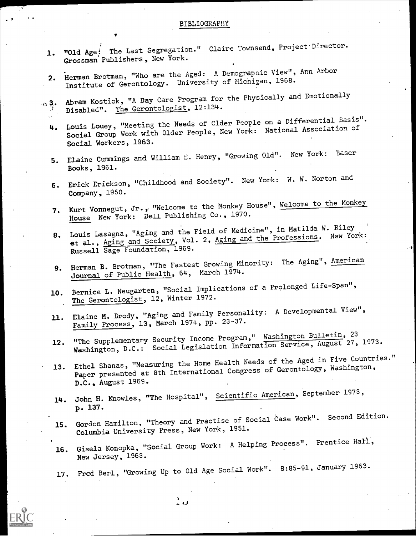## BIBLIOGRAPHY

- 1. "Old Age, The Last Segregation." Claire Townsend, Project Director. Grossman Publishers, New York.
- 2. Herman Brotman, "Who are the Aged: A Demograpnic View", Ann Arbor Institute of Gerontology. University of Michigan, 1968.
- Abram Kostick, "A Day Care Program for the Physically and Emotionally  $\sim$  3. Disabled". The Gerontologist, 12:134.
	- 4. Louis Louey, "Meeting the Needs of Older People on a Differential Basis". Social Group Work with Older People, New York: National Association of Social Workers, 1963.
	- 5. Elaine Cummings and William E. Henry, "Growing Old". New York: Baser Books, 1961.
	- 6. Erick Erickson, "Childhood and Society". New York: W. W. Norton and Company, 1950.
	- 7. Kurt Vonnegut, Jr., "Welcome to the Monkey House", Welcome to the Monkey House New York: Dell Publishing Co., 1970.
	- 8. Louis Lasagna, "Aging and the Field of Medicine", in Matilda W. Riley et al., Aging and Society, Vol. 2, Aging and the Professions. New York: Russell Sage Foundation, 1969.
	- 9. Herman B. Brotman, "The Fastest Growing Minority: The Aging", American Journal of Public Health, 64, March 1974.
	- 10. Bernice L. Neugarten, "Social Implications of a Prolonged Life-Span", The Gerontologist, 12, Winter 1972.
	- 11. Elaine M. Brody, "Aging and Family Personality: A Developmental View", Family Process, 13, March 1974, pp. 23-37.
	- 12. "The Supplementary Security Income Program," Washington Bulletin, 23 Washington, D.C.: Social Legislation Information Service, August 27, 1973.
	- 13. Ethel Shanas, "Measuring the Home Health Needs of the Aged in Five Countries." Paper presented at 8th International Congress of Gerontology, Washington, D.C., August 1969.
	- 14. John H. Knowles, "The Hospital", Scientific American, September 1973, p. 137.
	- 15. Gordon Hamilton, "Theory and Practise of Social Case Work". Second Edition. Columbia University Press, New York, 1951.
	- 16. Gisela Konopka, "Social Group Work: A Helping Process". Prentice Hall, New Jersey, 1963.
	- 17. Fred Berl, "Growing Up to Old Age Social Work". 8:85-91, January 1963.

 $\frac{1}{2}$